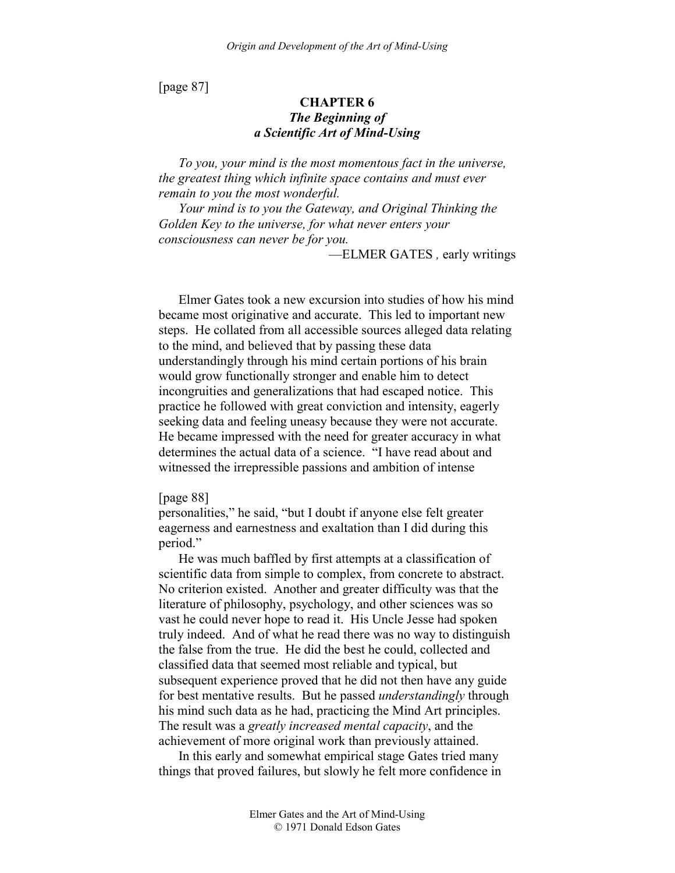[page 87]

# **CHAPTER 6**  *The Beginning of a Scientific Art of Mind-Using*

*To you, your mind is the most momentous fact in the universe, the greatest thing which infinite space contains and must ever remain to you the most wonderful.* 

*Your mind is to you the Gateway, and Original Thinking the Golden Key to the universe, for what never enters your consciousness can never be for you.* 

—ELMER GATES *,* early writings

Elmer Gates took a new excursion into studies of how his mind became most originative and accurate. This led to important new steps. He collated from all accessible sources alleged data relating to the mind, and believed that by passing these data understandingly through his mind certain portions of his brain would grow functionally stronger and enable him to detect incongruities and generalizations that had escaped notice. This practice he followed with great conviction and intensity, eagerly seeking data and feeling uneasy because they were not accurate. He became impressed with the need for greater accuracy in what determines the actual data of a science. "I have read about and witnessed the irrepressible passions and ambition of intense

[page 88]

personalities," he said, "but I doubt if anyone else felt greater eagerness and earnestness and exaltation than I did during this period."

He was much baffled by first attempts at a classification of scientific data from simple to complex, from concrete to abstract. No criterion existed. Another and greater difficulty was that the literature of philosophy, psychology, and other sciences was so vast he could never hope to read it. His Uncle Jesse had spoken truly indeed. And of what he read there was no way to distinguish the false from the true. He did the best he could, collected and classified data that seemed most reliable and typical, but subsequent experience proved that he did not then have any guide for best mentative results. But he passed *understandingly* through his mind such data as he had, practicing the Mind Art principles. The result was a *greatly increased mental capacity*, and the achievement of more original work than previously attained.

In this early and somewhat empirical stage Gates tried many things that proved failures, but slowly he felt more confidence in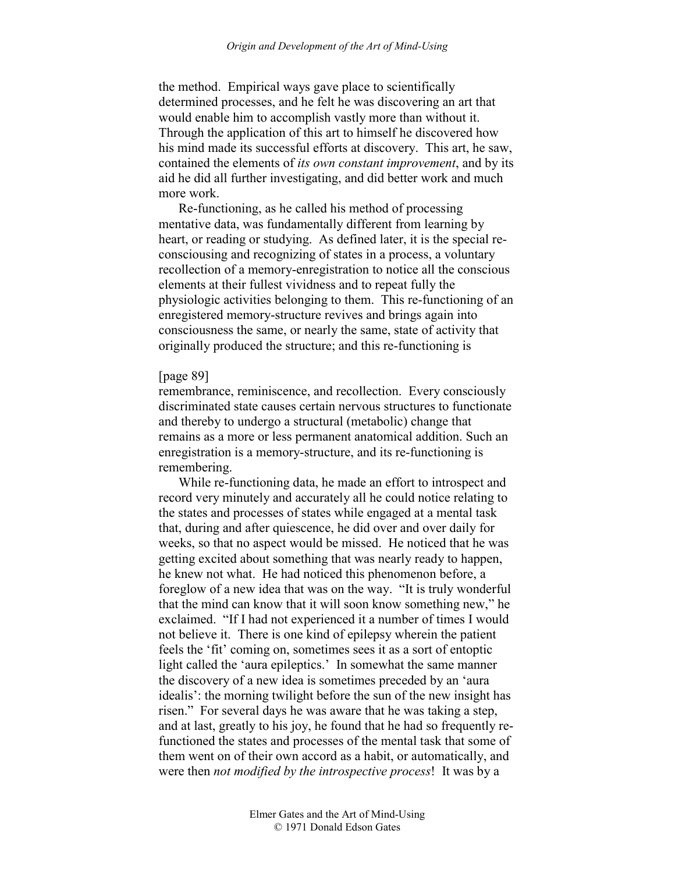the method. Empirical ways gave place to scientifically determined processes, and he felt he was discovering an art that would enable him to accomplish vastly more than without it. Through the application of this art to himself he discovered how his mind made its successful efforts at discovery. This art, he saw, contained the elements of *its own constant improvement*, and by its aid he did all further investigating, and did better work and much more work.

Re-functioning, as he called his method of processing mentative data, was fundamentally different from learning by heart, or reading or studying. As defined later, it is the special reconsciousing and recognizing of states in a process, a voluntary recollection of a memory-enregistration to notice all the conscious elements at their fullest vividness and to repeat fully the physiologic activities belonging to them. This re-functioning of an enregistered memory-structure revives and brings again into consciousness the same, or nearly the same, state of activity that originally produced the structure; and this re-functioning is

### [page 89]

remembrance, reminiscence, and recollection. Every consciously discriminated state causes certain nervous structures to functionate and thereby to undergo a structural (metabolic) change that remains as a more or less permanent anatomical addition. Such an enregistration is a memory-structure, and its re-functioning is remembering.

While re-functioning data, he made an effort to introspect and record very minutely and accurately all he could notice relating to the states and processes of states while engaged at a mental task that, during and after quiescence, he did over and over daily for weeks, so that no aspect would be missed. He noticed that he was getting excited about something that was nearly ready to happen, he knew not what. He had noticed this phenomenon before, a foreglow of a new idea that was on the way. "It is truly wonderful that the mind can know that it will soon know something new," he exclaimed. "If I had not experienced it a number of times I would not believe it. There is one kind of epilepsy wherein the patient feels the 'fit' coming on, sometimes sees it as a sort of entoptic light called the 'aura epileptics.' In somewhat the same manner the discovery of a new idea is sometimes preceded by an 'aura idealis': the morning twilight before the sun of the new insight has risen." For several days he was aware that he was taking a step, and at last, greatly to his joy, he found that he had so frequently refunctioned the states and processes of the mental task that some of them went on of their own accord as a habit, or automatically, and were then *not modified by the introspective process*! It was by a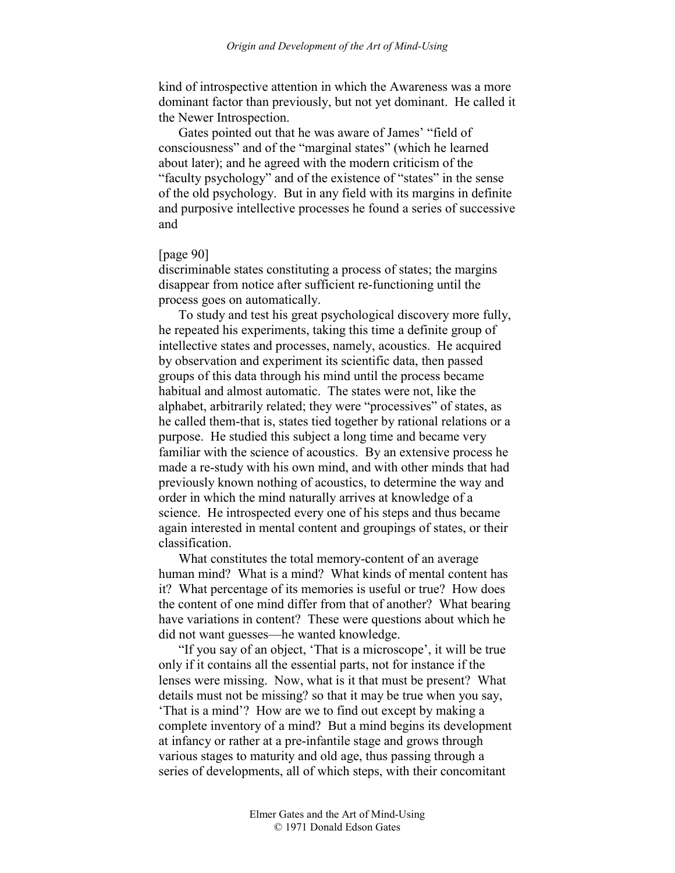kind of introspective attention in which the Awareness was a more dominant factor than previously, but not yet dominant. He called it the Newer Introspection.

Gates pointed out that he was aware of James' "field of consciousness" and of the "marginal states" (which he learned about later); and he agreed with the modern criticism of the "faculty psychology" and of the existence of "states" in the sense of the old psychology. But in any field with its margins in definite and purposive intellective processes he found a series of successive and

# [page 90]

discriminable states constituting a process of states; the margins disappear from notice after sufficient re-functioning until the process goes on automatically.

To study and test his great psychological discovery more fully, he repeated his experiments, taking this time a definite group of intellective states and processes, namely, acoustics. He acquired by observation and experiment its scientific data, then passed groups of this data through his mind until the process became habitual and almost automatic. The states were not, like the alphabet, arbitrarily related; they were "processives" of states, as he called them-that is, states tied together by rational relations or a purpose. He studied this subject a long time and became very familiar with the science of acoustics. By an extensive process he made a re-study with his own mind, and with other minds that had previously known nothing of acoustics, to determine the way and order in which the mind naturally arrives at knowledge of a science. He introspected every one of his steps and thus became again interested in mental content and groupings of states, or their classification.

What constitutes the total memory-content of an average human mind? What is a mind? What kinds of mental content has it? What percentage of its memories is useful or true? How does the content of one mind differ from that of another? What bearing have variations in content? These were questions about which he did not want guesses—he wanted knowledge.

"If you say of an object, 'That is a microscope', it will be true only if it contains all the essential parts, not for instance if the lenses were missing. Now, what is it that must be present? What details must not be missing? so that it may be true when you say, 'That is a mind'? How are we to find out except by making a complete inventory of a mind? But a mind begins its development at infancy or rather at a pre-infantile stage and grows through various stages to maturity and old age, thus passing through a series of developments, all of which steps, with their concomitant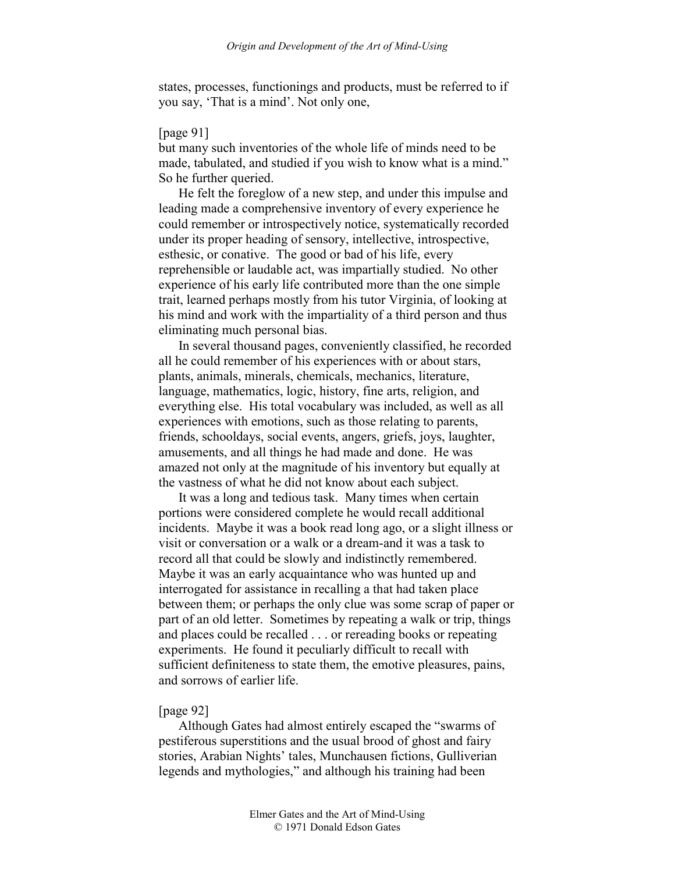states, processes, functionings and products, must be referred to if you say, 'That is a mind'. Not only one,

### [page 91]

but many such inventories of the whole life of minds need to be made, tabulated, and studied if you wish to know what is a mind." So he further queried.

He felt the foreglow of a new step, and under this impulse and leading made a comprehensive inventory of every experience he could remember or introspectively notice, systematically recorded under its proper heading of sensory, intellective, introspective, esthesic, or conative. The good or bad of his life, every reprehensible or laudable act, was impartially studied. No other experience of his early life contributed more than the one simple trait, learned perhaps mostly from his tutor Virginia, of looking at his mind and work with the impartiality of a third person and thus eliminating much personal bias.

In several thousand pages, conveniently classified, he recorded all he could remember of his experiences with or about stars, plants, animals, minerals, chemicals, mechanics, literature, language, mathematics, logic, history, fine arts, religion, and everything else. His total vocabulary was included, as well as all experiences with emotions, such as those relating to parents, friends, schooldays, social events, angers, griefs, joys, laughter, amusements, and all things he had made and done. He was amazed not only at the magnitude of his inventory but equally at the vastness of what he did not know about each subject.

It was a long and tedious task. Many times when certain portions were considered complete he would recall additional incidents. Maybe it was a book read long ago, or a slight illness or visit or conversation or a walk or a dream-and it was a task to record all that could be slowly and indistinctly remembered. Maybe it was an early acquaintance who was hunted up and interrogated for assistance in recalling a that had taken place between them; or perhaps the only clue was some scrap of paper or part of an old letter. Sometimes by repeating a walk or trip, things and places could be recalled . . . or rereading books or repeating experiments. He found it peculiarly difficult to recall with sufficient definiteness to state them, the emotive pleasures, pains, and sorrows of earlier life.

# [page 92]

Although Gates had almost entirely escaped the "swarms of pestiferous superstitions and the usual brood of ghost and fairy stories, Arabian Nights' tales, Munchausen fictions, Gulliverian legends and mythologies," and although his training had been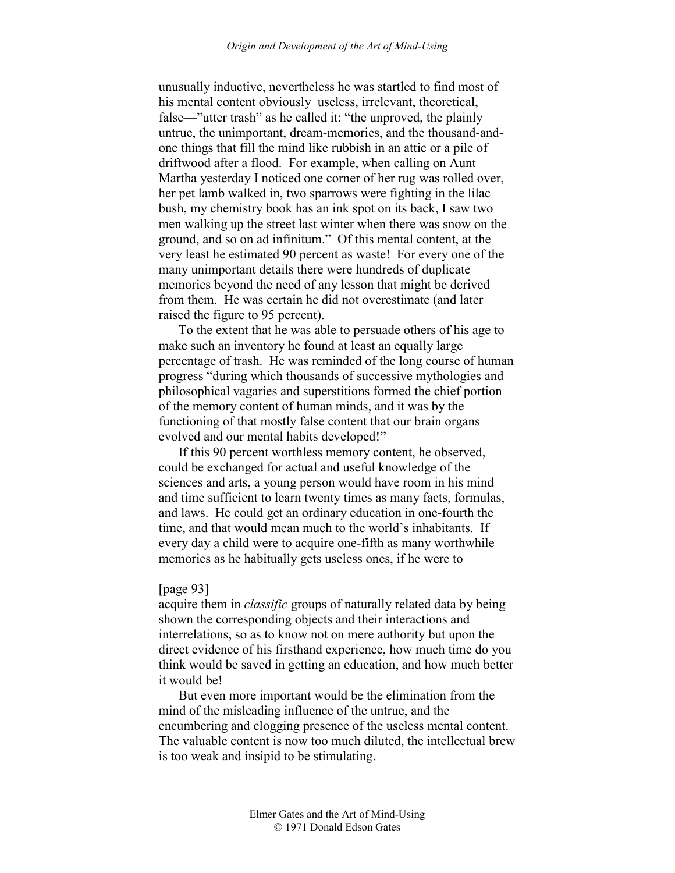unusually inductive, nevertheless he was startled to find most of his mental content obviously useless, irrelevant, theoretical, false—"utter trash" as he called it: "the unproved, the plainly untrue, the unimportant, dream-memories, and the thousand-andone things that fill the mind like rubbish in an attic or a pile of driftwood after a flood. For example, when calling on Aunt Martha yesterday I noticed one corner of her rug was rolled over, her pet lamb walked in, two sparrows were fighting in the lilac bush, my chemistry book has an ink spot on its back, I saw two men walking up the street last winter when there was snow on the ground, and so on ad infinitum." Of this mental content, at the very least he estimated 90 percent as waste! For every one of the many unimportant details there were hundreds of duplicate memories beyond the need of any lesson that might be derived from them. He was certain he did not overestimate (and later raised the figure to 95 percent).

To the extent that he was able to persuade others of his age to make such an inventory he found at least an equally large percentage of trash. He was reminded of the long course of human progress "during which thousands of successive mythologies and philosophical vagaries and superstitions formed the chief portion of the memory content of human minds, and it was by the functioning of that mostly false content that our brain organs evolved and our mental habits developed!"

If this 90 percent worthless memory content, he observed, could be exchanged for actual and useful knowledge of the sciences and arts, a young person would have room in his mind and time sufficient to learn twenty times as many facts, formulas, and laws. He could get an ordinary education in one-fourth the time, and that would mean much to the world's inhabitants. If every day a child were to acquire one-fifth as many worthwhile memories as he habitually gets useless ones, if he were to

# [page 93]

acquire them in *classific* groups of naturally related data by being shown the corresponding objects and their interactions and interrelations, so as to know not on mere authority but upon the direct evidence of his firsthand experience, how much time do you think would be saved in getting an education, and how much better it would be!

But even more important would be the elimination from the mind of the misleading influence of the untrue, and the encumbering and clogging presence of the useless mental content. The valuable content is now too much diluted, the intellectual brew is too weak and insipid to be stimulating.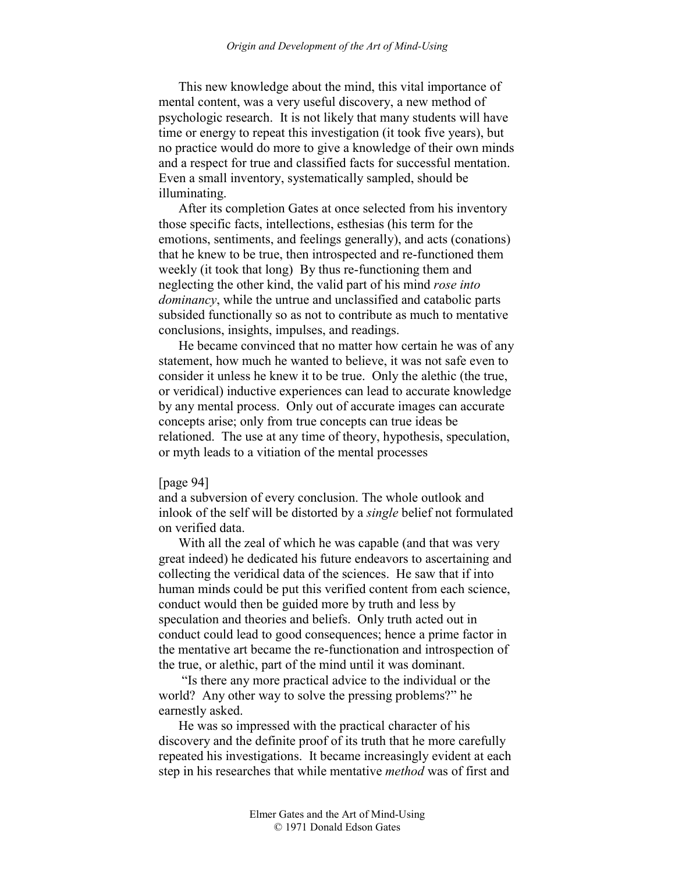This new knowledge about the mind, this vital importance of mental content, was a very useful discovery, a new method of psychologic research. It is not likely that many students will have time or energy to repeat this investigation (it took five years), but no practice would do more to give a knowledge of their own minds and a respect for true and classified facts for successful mentation. Even a small inventory, systematically sampled, should be illuminating.

After its completion Gates at once selected from his inventory those specific facts, intellections, esthesias (his term for the emotions, sentiments, and feelings generally), and acts (conations) that he knew to be true, then introspected and re-functioned them weekly (it took that long) By thus re-functioning them and neglecting the other kind, the valid part of his mind *rose into dominancy*, while the untrue and unclassified and catabolic parts subsided functionally so as not to contribute as much to mentative conclusions, insights, impulses, and readings.

He became convinced that no matter how certain he was of any statement, how much he wanted to believe, it was not safe even to consider it unless he knew it to be true. Only the alethic (the true, or veridical) inductive experiences can lead to accurate knowledge by any mental process. Only out of accurate images can accurate concepts arise; only from true concepts can true ideas be relationed. The use at any time of theory, hypothesis, speculation, or myth leads to a vitiation of the mental processes

#### [page 94]

and a subversion of every conclusion. The whole outlook and inlook of the self will be distorted by a *single* belief not formulated on verified data.

With all the zeal of which he was capable (and that was very great indeed) he dedicated his future endeavors to ascertaining and collecting the veridical data of the sciences. He saw that if into human minds could be put this verified content from each science, conduct would then be guided more by truth and less by speculation and theories and beliefs. Only truth acted out in conduct could lead to good consequences; hence a prime factor in the mentative art became the re-functionation and introspection of the true, or alethic, part of the mind until it was dominant.

 "Is there any more practical advice to the individual or the world? Any other way to solve the pressing problems?" he earnestly asked.

He was so impressed with the practical character of his discovery and the definite proof of its truth that he more carefully repeated his investigations. It became increasingly evident at each step in his researches that while mentative *method* was of first and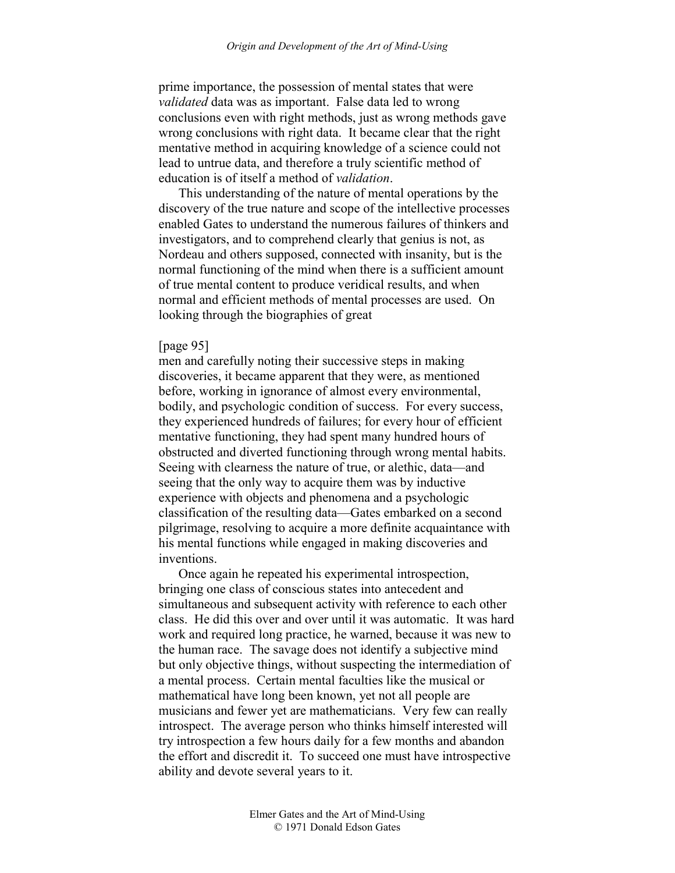prime importance, the possession of mental states that were *validated* data was as important. False data led to wrong conclusions even with right methods, just as wrong methods gave wrong conclusions with right data. It became clear that the right mentative method in acquiring knowledge of a science could not lead to untrue data, and therefore a truly scientific method of education is of itself a method of *validation*.

This understanding of the nature of mental operations by the discovery of the true nature and scope of the intellective processes enabled Gates to understand the numerous failures of thinkers and investigators, and to comprehend clearly that genius is not, as Nordeau and others supposed, connected with insanity, but is the normal functioning of the mind when there is a sufficient amount of true mental content to produce veridical results, and when normal and efficient methods of mental processes are used. On looking through the biographies of great

#### [page 95]

men and carefully noting their successive steps in making discoveries, it became apparent that they were, as mentioned before, working in ignorance of almost every environmental, bodily, and psychologic condition of success. For every success, they experienced hundreds of failures; for every hour of efficient mentative functioning, they had spent many hundred hours of obstructed and diverted functioning through wrong mental habits. Seeing with clearness the nature of true, or alethic, data—and seeing that the only way to acquire them was by inductive experience with objects and phenomena and a psychologic classification of the resulting data—Gates embarked on a second pilgrimage, resolving to acquire a more definite acquaintance with his mental functions while engaged in making discoveries and inventions.

Once again he repeated his experimental introspection, bringing one class of conscious states into antecedent and simultaneous and subsequent activity with reference to each other class. He did this over and over until it was automatic. It was hard work and required long practice, he warned, because it was new to the human race. The savage does not identify a subjective mind but only objective things, without suspecting the intermediation of a mental process. Certain mental faculties like the musical or mathematical have long been known, yet not all people are musicians and fewer yet are mathematicians. Very few can really introspect. The average person who thinks himself interested will try introspection a few hours daily for a few months and abandon the effort and discredit it. To succeed one must have introspective ability and devote several years to it.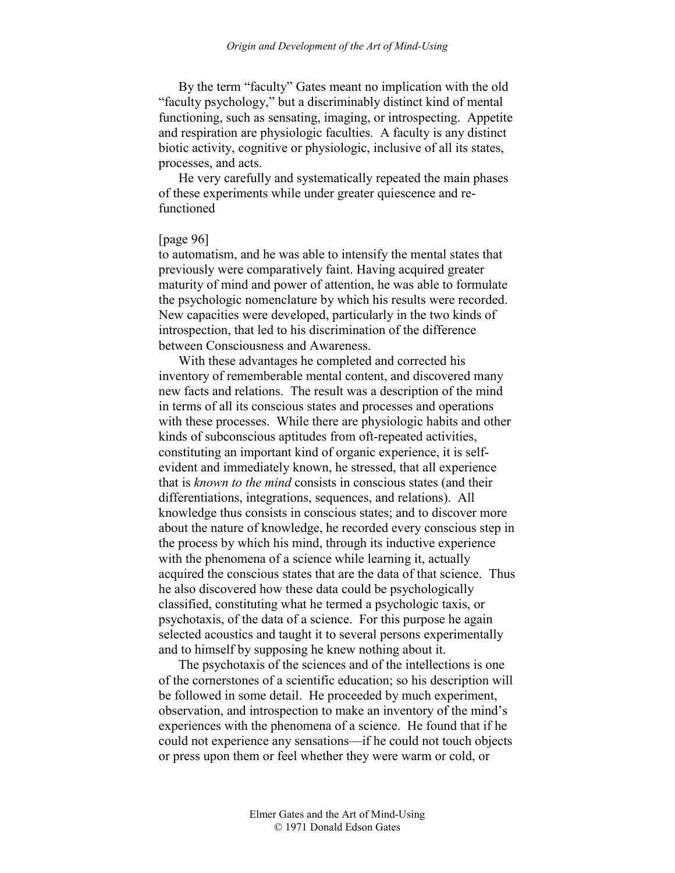By the term "faculty" Gates meant no implication with the old "faculty psychology," but a discriminably distinct kind of mental functioning, such as sensating, imaging, or introspecting. Appetite and respiration are physiologic faculties. A faculty is any distinct biotic activity, cognitive or physiologic, inclusive of all its states, processes, and acts.

He very carefully and systematically repeated the main phases of these experiments while under greater quiescence and refunctioned

### [page 96]

to automatism, and he was able to intensify the mental states that previously were comparatively faint. Having acquired greater maturity of mind and power of attention, he was able to formulate the psychologic nomenclature by which his results were recorded. New capacities were developed, particularly in the two kinds of introspection, that led to his discrimination of the difference between Consciousness and Awareness.

With these advantages he completed and corrected his inventory of rememberable mental content, and discovered many new facts and relations. The result was a description of the mind in terms of all its conscious states and processes and operations with these processes. While there are physiologic habits and other kinds of subconscious aptitudes from oft-repeated activities, constituting an important kind of organic experience, it is selfevident and immediately known, he stressed, that all experience that is *known to the mind* consists in conscious states (and their differentiations, integrations, sequences, and relations). All knowledge thus consists in conscious states; and to discover more about the nature of knowledge, he recorded every conscious step in the process by which his mind, through its inductive experience with the phenomena of a science while learning it, actually acquired the conscious states that are the data of that science. Thus he also discovered how these data could be psychologically classified, constituting what he termed a psychologic taxis, or psychotaxis, of the data of a science. For this purpose he again selected acoustics and taught it to several persons experimentally and to himself by supposing he knew nothing about it.

The psychotaxis of the sciences and of the intellections is one of the cornerstones of a scientific education; so his description will be followed in some detail. He proceeded by much experiment, observation, and introspection to make an inventory of the mind's experiences with the phenomena of a science. He found that if he could not experience any sensations—if he could not touch objects or press upon them or feel whether they were warm or cold, or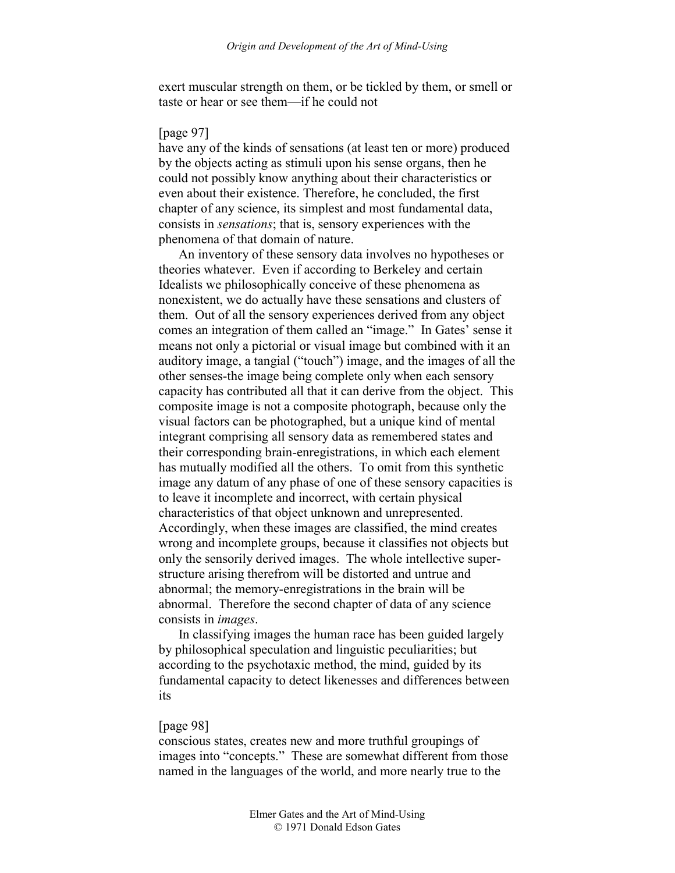exert muscular strength on them, or be tickled by them, or smell or taste or hear or see them—if he could not

### [page 97]

have any of the kinds of sensations (at least ten or more) produced by the objects acting as stimuli upon his sense organs, then he could not possibly know anything about their characteristics or even about their existence. Therefore, he concluded, the first chapter of any science, its simplest and most fundamental data, consists in *sensations*; that is, sensory experiences with the phenomena of that domain of nature.

An inventory of these sensory data involves no hypotheses or theories whatever. Even if according to Berkeley and certain Idealists we philosophically conceive of these phenomena as nonexistent, we do actually have these sensations and clusters of them. Out of all the sensory experiences derived from any object comes an integration of them called an "image." In Gates' sense it means not only a pictorial or visual image but combined with it an auditory image, a tangial ("touch") image, and the images of all the other senses-the image being complete only when each sensory capacity has contributed all that it can derive from the object. This composite image is not a composite photograph, because only the visual factors can be photographed, but a unique kind of mental integrant comprising all sensory data as remembered states and their corresponding brain-enregistrations, in which each element has mutually modified all the others. To omit from this synthetic image any datum of any phase of one of these sensory capacities is to leave it incomplete and incorrect, with certain physical characteristics of that object unknown and unrepresented. Accordingly, when these images are classified, the mind creates wrong and incomplete groups, because it classifies not objects but only the sensorily derived images. The whole intellective superstructure arising therefrom will be distorted and untrue and abnormal; the memory-enregistrations in the brain will be abnormal. Therefore the second chapter of data of any science consists in *images*.

In classifying images the human race has been guided largely by philosophical speculation and linguistic peculiarities; but according to the psychotaxic method, the mind, guided by its fundamental capacity to detect likenesses and differences between its

#### [page 98]

conscious states, creates new and more truthful groupings of images into "concepts." These are somewhat different from those named in the languages of the world, and more nearly true to the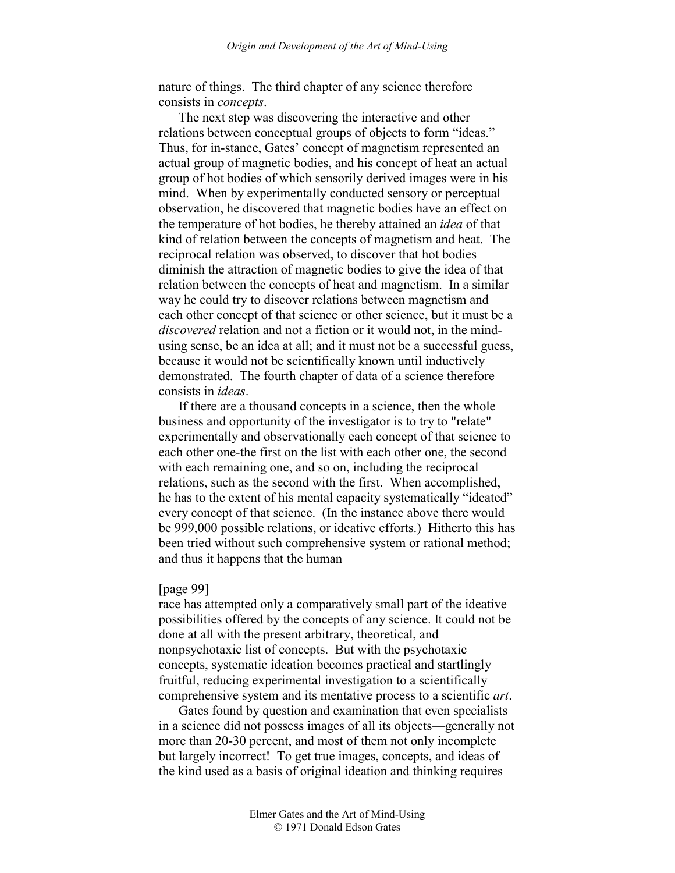nature of things. The third chapter of any science therefore consists in *concepts*.

The next step was discovering the interactive and other relations between conceptual groups of objects to form "ideas." Thus, for in-stance, Gates' concept of magnetism represented an actual group of magnetic bodies, and his concept of heat an actual group of hot bodies of which sensorily derived images were in his mind. When by experimentally conducted sensory or perceptual observation, he discovered that magnetic bodies have an effect on the temperature of hot bodies, he thereby attained an *idea* of that kind of relation between the concepts of magnetism and heat. The reciprocal relation was observed, to discover that hot bodies diminish the attraction of magnetic bodies to give the idea of that relation between the concepts of heat and magnetism. In a similar way he could try to discover relations between magnetism and each other concept of that science or other science, but it must be a *discovered* relation and not a fiction or it would not, in the mindusing sense, be an idea at all; and it must not be a successful guess, because it would not be scientifically known until inductively demonstrated. The fourth chapter of data of a science therefore consists in *ideas*.

If there are a thousand concepts in a science, then the whole business and opportunity of the investigator is to try to "relate" experimentally and observationally each concept of that science to each other one-the first on the list with each other one, the second with each remaining one, and so on, including the reciprocal relations, such as the second with the first. When accomplished, he has to the extent of his mental capacity systematically "ideated" every concept of that science. (In the instance above there would be 999,000 possible relations, or ideative efforts.) Hitherto this has been tried without such comprehensive system or rational method; and thus it happens that the human

#### [page 99]

race has attempted only a comparatively small part of the ideative possibilities offered by the concepts of any science. It could not be done at all with the present arbitrary, theoretical, and nonpsychotaxic list of concepts. But with the psychotaxic concepts, systematic ideation becomes practical and startlingly fruitful, reducing experimental investigation to a scientifically comprehensive system and its mentative process to a scientific *art*.

Gates found by question and examination that even specialists in a science did not possess images of all its objects—generally not more than 20-30 percent, and most of them not only incomplete but largely incorrect! To get true images, concepts, and ideas of the kind used as a basis of original ideation and thinking requires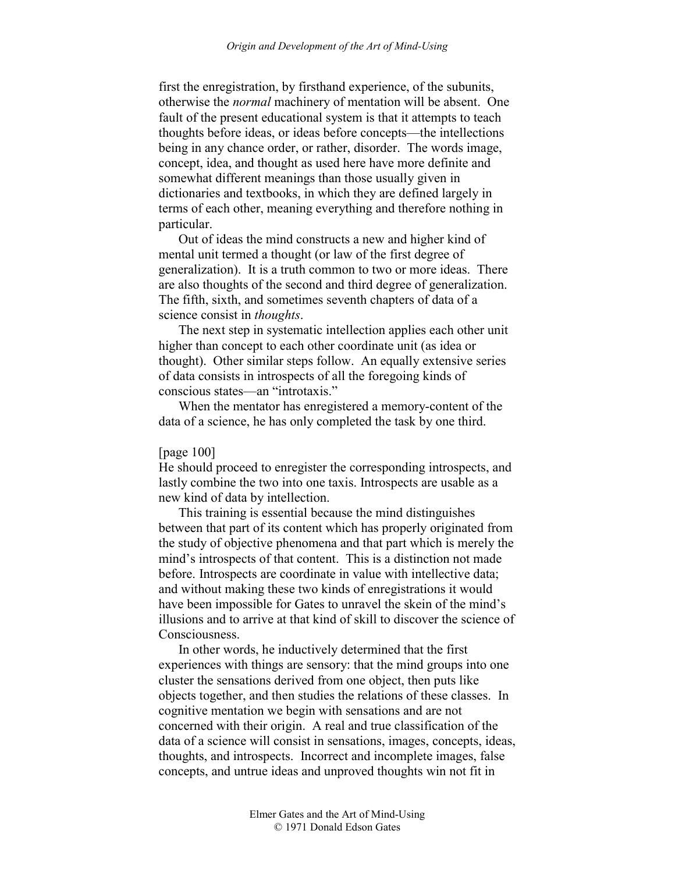first the enregistration, by firsthand experience, of the subunits, otherwise the *normal* machinery of mentation will be absent. One fault of the present educational system is that it attempts to teach thoughts before ideas, or ideas before concepts—the intellections being in any chance order, or rather, disorder. The words image, concept, idea, and thought as used here have more definite and somewhat different meanings than those usually given in dictionaries and textbooks, in which they are defined largely in terms of each other, meaning everything and therefore nothing in particular.

Out of ideas the mind constructs a new and higher kind of mental unit termed a thought (or law of the first degree of generalization). It is a truth common to two or more ideas. There are also thoughts of the second and third degree of generalization. The fifth, sixth, and sometimes seventh chapters of data of a science consist in *thoughts*.

The next step in systematic intellection applies each other unit higher than concept to each other coordinate unit (as idea or thought). Other similar steps follow. An equally extensive series of data consists in introspects of all the foregoing kinds of conscious states—an "introtaxis."

When the mentator has enregistered a memory-content of the data of a science, he has only completed the task by one third.

# [page 100]

He should proceed to enregister the corresponding introspects, and lastly combine the two into one taxis. Introspects are usable as a new kind of data by intellection.

This training is essential because the mind distinguishes between that part of its content which has properly originated from the study of objective phenomena and that part which is merely the mind's introspects of that content. This is a distinction not made before. Introspects are coordinate in value with intellective data; and without making these two kinds of enregistrations it would have been impossible for Gates to unravel the skein of the mind's illusions and to arrive at that kind of skill to discover the science of Consciousness.

In other words, he inductively determined that the first experiences with things are sensory: that the mind groups into one cluster the sensations derived from one object, then puts like objects together, and then studies the relations of these classes. In cognitive mentation we begin with sensations and are not concerned with their origin. A real and true classification of the data of a science will consist in sensations, images, concepts, ideas, thoughts, and introspects. Incorrect and incomplete images, false concepts, and untrue ideas and unproved thoughts win not fit in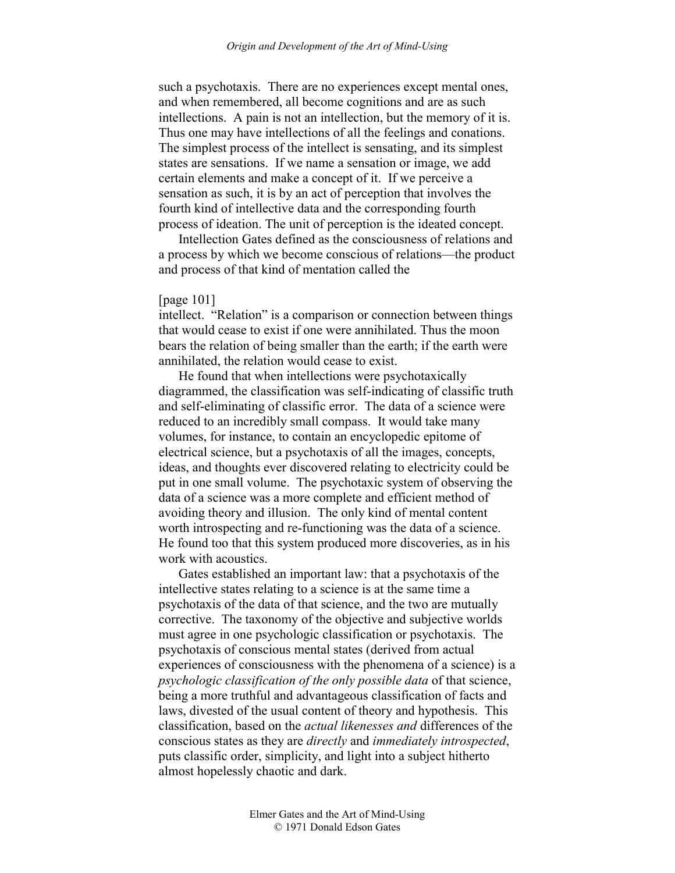such a psychotaxis. There are no experiences except mental ones, and when remembered, all become cognitions and are as such intellections. A pain is not an intellection, but the memory of it is. Thus one may have intellections of all the feelings and conations. The simplest process of the intellect is sensating, and its simplest states are sensations. If we name a sensation or image, we add certain elements and make a concept of it. If we perceive a sensation as such, it is by an act of perception that involves the fourth kind of intellective data and the corresponding fourth process of ideation. The unit of perception is the ideated concept.

Intellection Gates defined as the consciousness of relations and a process by which we become conscious of relations—the product and process of that kind of mentation called the

#### [page 101]

intellect. "Relation" is a comparison or connection between things that would cease to exist if one were annihilated. Thus the moon bears the relation of being smaller than the earth; if the earth were annihilated, the relation would cease to exist.

He found that when intellections were psychotaxically diagrammed, the classification was self-indicating of classific truth and self-eliminating of classific error. The data of a science were reduced to an incredibly small compass. It would take many volumes, for instance, to contain an encyclopedic epitome of electrical science, but a psychotaxis of all the images, concepts, ideas, and thoughts ever discovered relating to electricity could be put in one small volume. The psychotaxic system of observing the data of a science was a more complete and efficient method of avoiding theory and illusion. The only kind of mental content worth introspecting and re-functioning was the data of a science. He found too that this system produced more discoveries, as in his work with acoustics.

Gates established an important law: that a psychotaxis of the intellective states relating to a science is at the same time a psychotaxis of the data of that science, and the two are mutually corrective. The taxonomy of the objective and subjective worlds must agree in one psychologic classification or psychotaxis. The psychotaxis of conscious mental states (derived from actual experiences of consciousness with the phenomena of a science) is a *psychologic classification of the only possible data* of that science, being a more truthful and advantageous classification of facts and laws, divested of the usual content of theory and hypothesis. This classification, based on the *actual likenesses and* differences of the conscious states as they are *directly* and *immediately introspected*, puts classific order, simplicity, and light into a subject hitherto almost hopelessly chaotic and dark.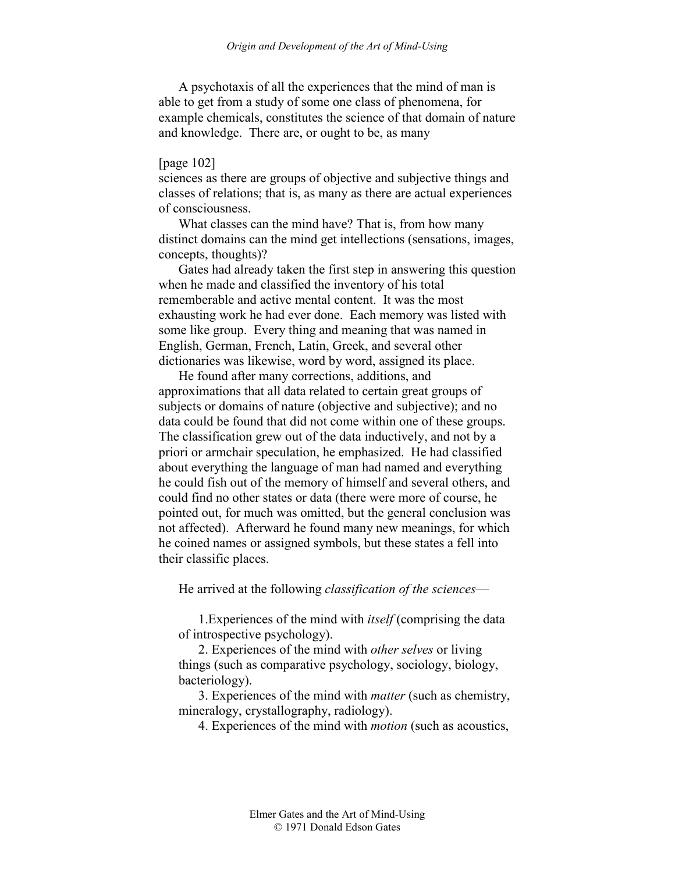A psychotaxis of all the experiences that the mind of man is able to get from a study of some one class of phenomena, for example chemicals, constitutes the science of that domain of nature and knowledge. There are, or ought to be, as many

## [page 102]

sciences as there are groups of objective and subjective things and classes of relations; that is, as many as there are actual experiences of consciousness.

What classes can the mind have? That is, from how many distinct domains can the mind get intellections (sensations, images, concepts, thoughts)?

Gates had already taken the first step in answering this question when he made and classified the inventory of his total rememberable and active mental content. It was the most exhausting work he had ever done. Each memory was listed with some like group. Every thing and meaning that was named in English, German, French, Latin, Greek, and several other dictionaries was likewise, word by word, assigned its place.

He found after many corrections, additions, and approximations that all data related to certain great groups of subjects or domains of nature (objective and subjective); and no data could be found that did not come within one of these groups. The classification grew out of the data inductively, and not by a priori or armchair speculation, he emphasized. He had classified about everything the language of man had named and everything he could fish out of the memory of himself and several others, and could find no other states or data (there were more of course, he pointed out, for much was omitted, but the general conclusion was not affected). Afterward he found many new meanings, for which he coined names or assigned symbols, but these states a fell into their classific places.

He arrived at the following *classification of the sciences*—

1.Experiences of the mind with *itself* (comprising the data of introspective psychology).

2. Experiences of the mind with *other selves* or living things (such as comparative psychology, sociology, biology, bacteriology).

3. Experiences of the mind with *matter* (such as chemistry, mineralogy, crystallography, radiology).

4. Experiences of the mind with *motion* (such as acoustics,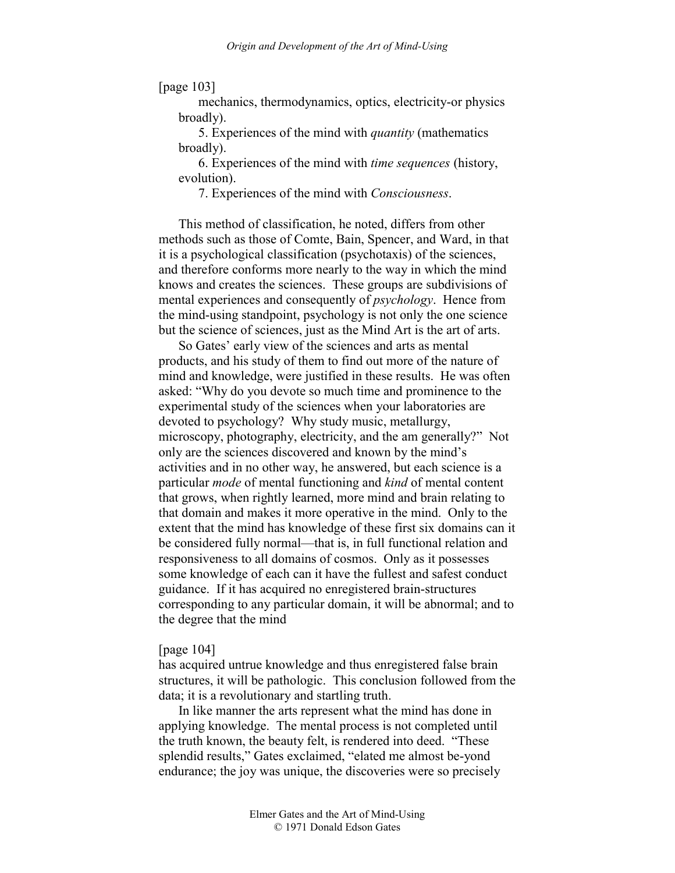[page 103]

mechanics, thermodynamics, optics, electricity-or physics broadly).

5. Experiences of the mind with *quantity* (mathematics broadly).

6. Experiences of the mind with *time sequences* (history, evolution).

7. Experiences of the mind with *Consciousness*.

This method of classification, he noted, differs from other methods such as those of Comte, Bain, Spencer, and Ward, in that it is a psychological classification (psychotaxis) of the sciences, and therefore conforms more nearly to the way in which the mind knows and creates the sciences. These groups are subdivisions of mental experiences and consequently of *psychology*. Hence from the mind-using standpoint, psychology is not only the one science but the science of sciences, just as the Mind Art is the art of arts.

So Gates' early view of the sciences and arts as mental products, and his study of them to find out more of the nature of mind and knowledge, were justified in these results. He was often asked: "Why do you devote so much time and prominence to the experimental study of the sciences when your laboratories are devoted to psychology? Why study music, metallurgy, microscopy, photography, electricity, and the am generally?" Not only are the sciences discovered and known by the mind's activities and in no other way, he answered, but each science is a particular *mode* of mental functioning and *kind* of mental content that grows, when rightly learned, more mind and brain relating to that domain and makes it more operative in the mind. Only to the extent that the mind has knowledge of these first six domains can it be considered fully normal—that is, in full functional relation and responsiveness to all domains of cosmos. Only as it possesses some knowledge of each can it have the fullest and safest conduct guidance. If it has acquired no enregistered brain-structures corresponding to any particular domain, it will be abnormal; and to the degree that the mind

#### [page 104]

has acquired untrue knowledge and thus enregistered false brain structures, it will be pathologic. This conclusion followed from the data; it is a revolutionary and startling truth.

In like manner the arts represent what the mind has done in applying knowledge. The mental process is not completed until the truth known, the beauty felt, is rendered into deed. "These splendid results," Gates exclaimed, "elated me almost be-yond endurance; the joy was unique, the discoveries were so precisely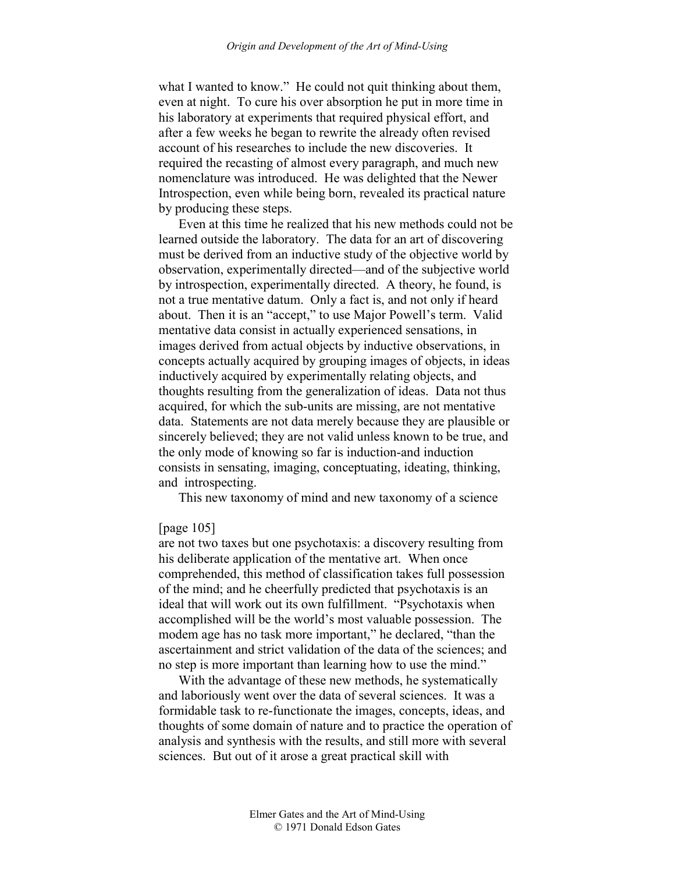what I wanted to know." He could not quit thinking about them, even at night. To cure his over absorption he put in more time in his laboratory at experiments that required physical effort, and after a few weeks he began to rewrite the already often revised account of his researches to include the new discoveries. It required the recasting of almost every paragraph, and much new nomenclature was introduced. He was delighted that the Newer Introspection, even while being born, revealed its practical nature by producing these steps.

Even at this time he realized that his new methods could not be learned outside the laboratory. The data for an art of discovering must be derived from an inductive study of the objective world by observation, experimentally directed—and of the subjective world by introspection, experimentally directed. A theory, he found, is not a true mentative datum. Only a fact is, and not only if heard about. Then it is an "accept," to use Major Powell's term. Valid mentative data consist in actually experienced sensations, in images derived from actual objects by inductive observations, in concepts actually acquired by grouping images of objects, in ideas inductively acquired by experimentally relating objects, and thoughts resulting from the generalization of ideas. Data not thus acquired, for which the sub-units are missing, are not mentative data. Statements are not data merely because they are plausible or sincerely believed; they are not valid unless known to be true, and the only mode of knowing so far is induction-and induction consists in sensating, imaging, conceptuating, ideating, thinking, and introspecting.

This new taxonomy of mind and new taxonomy of a science

# [page 105]

are not two taxes but one psychotaxis: a discovery resulting from his deliberate application of the mentative art. When once comprehended, this method of classification takes full possession of the mind; and he cheerfully predicted that psychotaxis is an ideal that will work out its own fulfillment. "Psychotaxis when accomplished will be the world's most valuable possession. The modem age has no task more important," he declared, "than the ascertainment and strict validation of the data of the sciences; and no step is more important than learning how to use the mind."

With the advantage of these new methods, he systematically and laboriously went over the data of several sciences. It was a formidable task to re-functionate the images, concepts, ideas, and thoughts of some domain of nature and to practice the operation of analysis and synthesis with the results, and still more with several sciences. But out of it arose a great practical skill with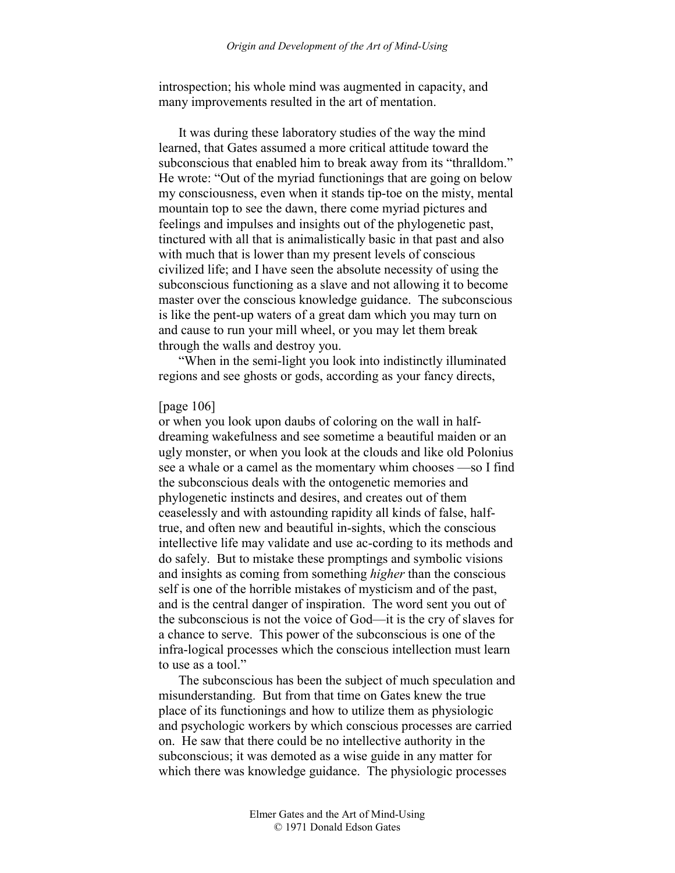introspection; his whole mind was augmented in capacity, and many improvements resulted in the art of mentation.

It was during these laboratory studies of the way the mind learned, that Gates assumed a more critical attitude toward the subconscious that enabled him to break away from its "thralldom." He wrote: "Out of the myriad functionings that are going on below my consciousness, even when it stands tip-toe on the misty, mental mountain top to see the dawn, there come myriad pictures and feelings and impulses and insights out of the phylogenetic past, tinctured with all that is animalistically basic in that past and also with much that is lower than my present levels of conscious civilized life; and I have seen the absolute necessity of using the subconscious functioning as a slave and not allowing it to become master over the conscious knowledge guidance. The subconscious is like the pent-up waters of a great dam which you may turn on and cause to run your mill wheel, or you may let them break through the walls and destroy you.

"When in the semi-light you look into indistinctly illuminated regions and see ghosts or gods, according as your fancy directs,

### [page 106]

or when you look upon daubs of coloring on the wall in halfdreaming wakefulness and see sometime a beautiful maiden or an ugly monster, or when you look at the clouds and like old Polonius see a whale or a camel as the momentary whim chooses —so I find the subconscious deals with the ontogenetic memories and phylogenetic instincts and desires, and creates out of them ceaselessly and with astounding rapidity all kinds of false, halftrue, and often new and beautiful in-sights, which the conscious intellective life may validate and use ac-cording to its methods and do safely. But to mistake these promptings and symbolic visions and insights as coming from something *higher* than the conscious self is one of the horrible mistakes of mysticism and of the past, and is the central danger of inspiration. The word sent you out of the subconscious is not the voice of God—it is the cry of slaves for a chance to serve. This power of the subconscious is one of the infra-logical processes which the conscious intellection must learn to use as a tool."

The subconscious has been the subject of much speculation and misunderstanding. But from that time on Gates knew the true place of its functionings and how to utilize them as physiologic and psychologic workers by which conscious processes are carried on. He saw that there could be no intellective authority in the subconscious; it was demoted as a wise guide in any matter for which there was knowledge guidance. The physiologic processes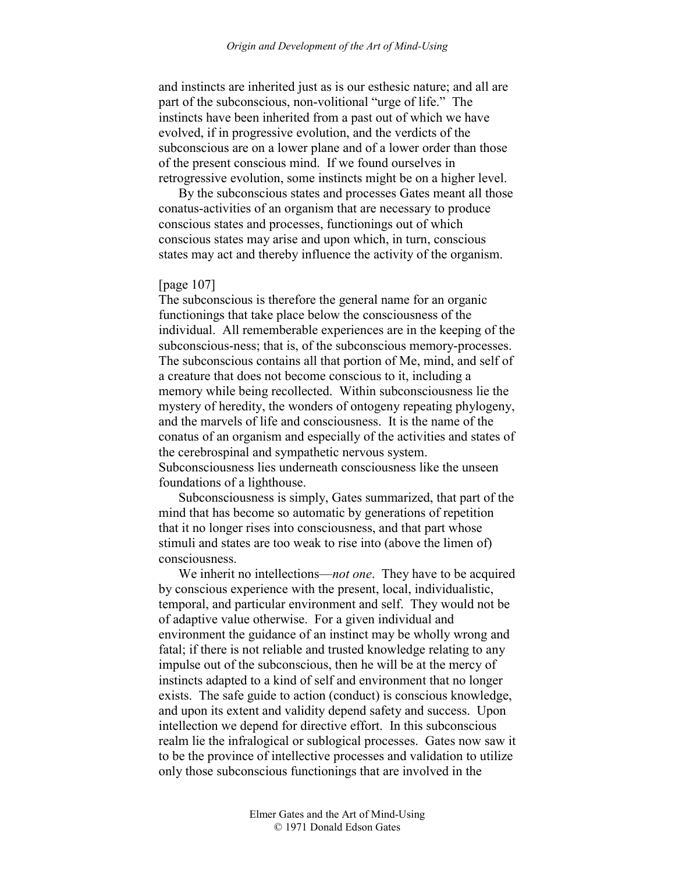and instincts are inherited just as is our esthesic nature; and all are part of the subconscious, non-volitional "urge of life." The instincts have been inherited from a past out of which we have evolved, if in progressive evolution, and the verdicts of the subconscious are on a lower plane and of a lower order than those of the present conscious mind. If we found ourselves in retrogressive evolution, some instincts might be on a higher level.

By the subconscious states and processes Gates meant all those conatus-activities of an organism that are necessary to produce conscious states and processes, functionings out of which conscious states may arise and upon which, in turn, conscious states may act and thereby influence the activity of the organism.

# [page 107]

The subconscious is therefore the general name for an organic functionings that take place below the consciousness of the individual. All rememberable experiences are in the keeping of the subconscious-ness; that is, of the subconscious memory-processes. The subconscious contains all that portion of Me, mind, and self of a creature that does not become conscious to it, including a memory while being recollected. Within subconsciousness lie the mystery of heredity, the wonders of ontogeny repeating phylogeny, and the marvels of life and consciousness. It is the name of the conatus of an organism and especially of the activities and states of the cerebrospinal and sympathetic nervous system. Subconsciousness lies underneath consciousness like the unseen foundations of a lighthouse.

Subconsciousness is simply, Gates summarized, that part of the mind that has become so automatic by generations of repetition that it no longer rises into consciousness, and that part whose stimuli and states are too weak to rise into (above the limen of) consciousness.

We inherit no intellections—*not one*. They have to be acquired by conscious experience with the present, local, individualistic, temporal, and particular environment and self. They would not be of adaptive value otherwise. For a given individual and environment the guidance of an instinct may be wholly wrong and fatal; if there is not reliable and trusted knowledge relating to any impulse out of the subconscious, then he will be at the mercy of instincts adapted to a kind of self and environment that no longer exists. The safe guide to action (conduct) is conscious knowledge, and upon its extent and validity depend safety and success. Upon intellection we depend for directive effort. In this subconscious realm lie the infralogical or sublogical processes. Gates now saw it to be the province of intellective processes and validation to utilize only those subconscious functionings that are involved in the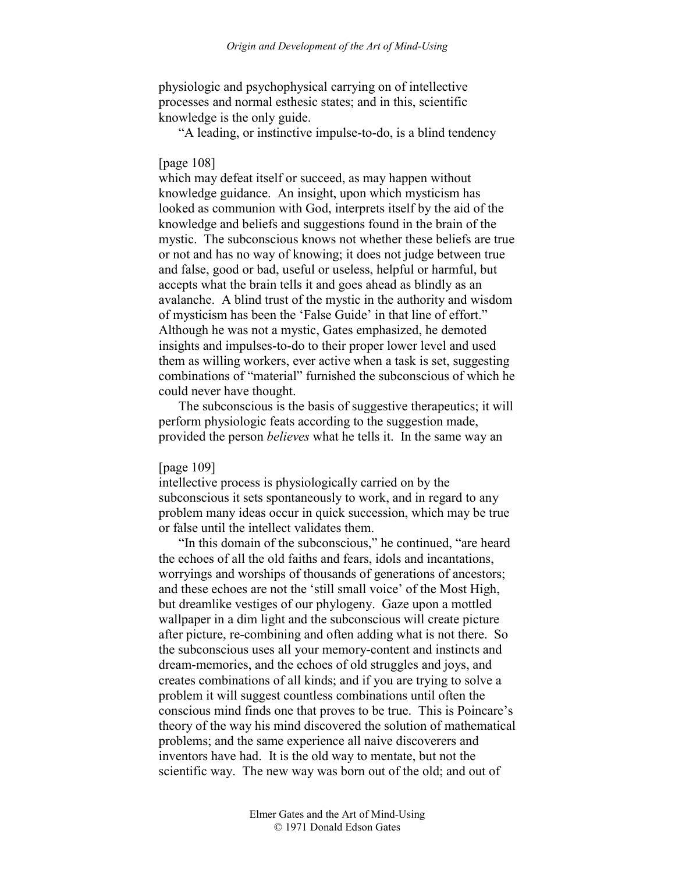physiologic and psychophysical carrying on of intellective processes and normal esthesic states; and in this, scientific knowledge is the only guide.

"A leading, or instinctive impulse-to-do, is a blind tendency

# [page 108]

which may defeat itself or succeed, as may happen without knowledge guidance. An insight, upon which mysticism has looked as communion with God, interprets itself by the aid of the knowledge and beliefs and suggestions found in the brain of the mystic. The subconscious knows not whether these beliefs are true or not and has no way of knowing; it does not judge between true and false, good or bad, useful or useless, helpful or harmful, but accepts what the brain tells it and goes ahead as blindly as an avalanche. A blind trust of the mystic in the authority and wisdom of mysticism has been the 'False Guide' in that line of effort." Although he was not a mystic, Gates emphasized, he demoted insights and impulses-to-do to their proper lower level and used them as willing workers, ever active when a task is set, suggesting combinations of "material" furnished the subconscious of which he could never have thought.

The subconscious is the basis of suggestive therapeutics; it will perform physiologic feats according to the suggestion made, provided the person *believes* what he tells it. In the same way an

### [page 109]

intellective process is physiologically carried on by the subconscious it sets spontaneously to work, and in regard to any problem many ideas occur in quick succession, which may be true or false until the intellect validates them.

"In this domain of the subconscious," he continued, "are heard the echoes of all the old faiths and fears, idols and incantations, worryings and worships of thousands of generations of ancestors; and these echoes are not the 'still small voice' of the Most High, but dreamlike vestiges of our phylogeny. Gaze upon a mottled wallpaper in a dim light and the subconscious will create picture after picture, re-combining and often adding what is not there. So the subconscious uses all your memory-content and instincts and dream-memories, and the echoes of old struggles and joys, and creates combinations of all kinds; and if you are trying to solve a problem it will suggest countless combinations until often the conscious mind finds one that proves to be true. This is Poincare's theory of the way his mind discovered the solution of mathematical problems; and the same experience all naive discoverers and inventors have had. It is the old way to mentate, but not the scientific way. The new way was born out of the old; and out of